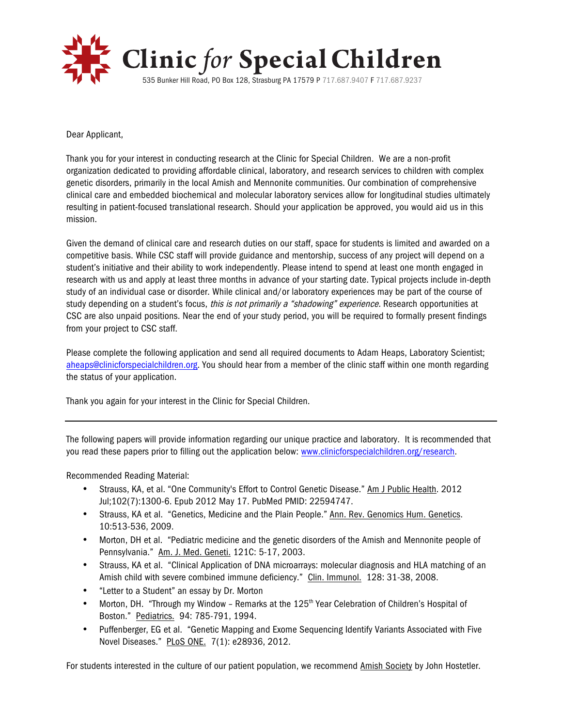

Dear Applicant,

Thank you for your interest in conducting research at the Clinic for Special Children. We are a non-profit organization dedicated to providing affordable clinical, laboratory, and research services to children with complex genetic disorders, primarily in the local Amish and Mennonite communities. Our combination of comprehensive clinical care and embedded biochemical and molecular laboratory services allow for longitudinal studies ultimately resulting in patient-focused translational research. Should your application be approved, you would aid us in this mission.

Given the demand of clinical care and research duties on our staff, space for students is limited and awarded on a competitive basis. While CSC staff will provide guidance and mentorship, success of any project will depend on a student's initiative and their ability to work independently. Please intend to spend at least one month engaged in research with us and apply at least three months in advance of your starting date. Typical projects include in-depth study of an individual case or disorder. While clinical and/or laboratory experiences may be part of the course of study depending on a student's focus, this is not primarily a "shadowing" experience. Research opportunities at CSC are also unpaid positions. Near the end of your study period, you will be required to formally present findings from your project to CSC staff.

Please complete the following application and send all required documents to Adam Heaps, Laboratory Scientist; aheaps@clinicforspecialchildren.org. You should hear from a member of the clinic staff within one month regarding the status of your application.

Thank you again for your interest in the Clinic for Special Children.

The following papers will provide information regarding our unique practice and laboratory. It is recommended that you read these papers prior to filling out the application below: www.clinicforspecialchildren.org/research.

Recommended Reading Material:

- Strauss, KA, et al. "One Community's Effort to Control Genetic Disease." Am J Public Health. 2012 Jul;102(7):1300-6. Epub 2012 May 17. PubMed PMID: 22594747.
- Strauss, KA et al. "Genetics, Medicine and the Plain People." Ann. Rev. Genomics Hum. Genetics. 10:513-536, 2009.
- Morton, DH et al. "Pediatric medicine and the genetic disorders of the Amish and Mennonite people of Pennsylvania." Am. J. Med. Geneti. 121C: 5-17, 2003.
- Strauss, KA et al. "Clinical Application of DNA microarrays: molecular diagnosis and HLA matching of an Amish child with severe combined immune deficiency." Clin. Immunol. 128: 31-38, 2008.
- "Letter to a Student" an essay by Dr. Morton
- Morton, DH. "Through my Window Remarks at the 125<sup>th</sup> Year Celebration of Children's Hospital of Boston." Pediatrics. 94: 785-791, 1994.
- Puffenberger, EG et al. "Genetic Mapping and Exome Sequencing Identify Variants Associated with Five Novel Diseases." PLoS ONE. 7(1): e28936, 2012.

For students interested in the culture of our patient population, we recommend Amish Society by John Hostetler.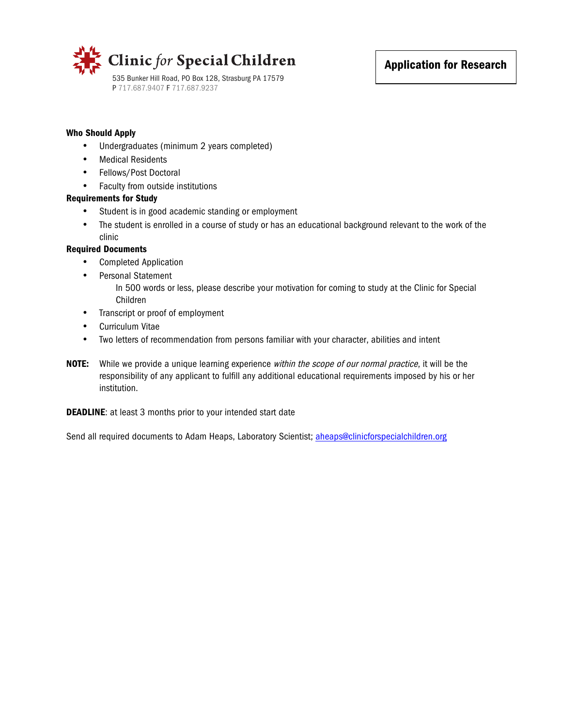

## Who Should Apply

- Undergraduates (minimum 2 years completed)
- Medical Residents
- Fellows/Post Doctoral
- Faculty from outside institutions

## Requirements for Study

- Student is in good academic standing or employment
- The student is enrolled in a course of study or has an educational background relevant to the work of the clinic

## Required Documents

- Completed Application
- Personal Statement
	- In 500 words or less, please describe your motivation for coming to study at the Clinic for Special Children
- Transcript or proof of employment
- Curriculum Vitae
- Two letters of recommendation from persons familiar with your character, abilities and intent
- NOTE: While we provide a unique learning experience within the scope of our normal practice, it will be the responsibility of any applicant to fulfill any additional educational requirements imposed by his or her institution.

**DEADLINE:** at least 3 months prior to your intended start date

Send all required documents to Adam Heaps, Laboratory Scientist; aheaps@clinicforspecialchildren.org